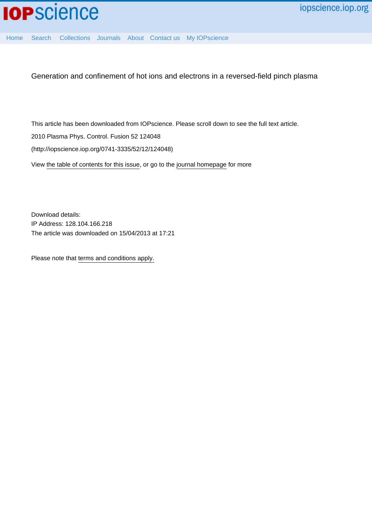

[Home](http://iopscience.iop.org/) [Search](http://iopscience.iop.org/search) [Collections](http://iopscience.iop.org/collections) [Journals](http://iopscience.iop.org/journals) [About](http://iopscience.iop.org/page/aboutioppublishing) [Contact us](http://iopscience.iop.org/contact) [My IOPscience](http://iopscience.iop.org/myiopscience)

Generation and confinement of hot ions and electrons in a reversed-field pinch plasma

This article has been downloaded from IOPscience. Please scroll down to see the full text article. 2010 Plasma Phys. Control. Fusion 52 124048 (http://iopscience.iop.org/0741-3335/52/12/124048)

View [the table of contents for this issue](http://iopscience.iop.org/0741-3335/52/12), or go to the [journal homepage](http://iopscience.iop.org/0741-3335) for more

Download details: IP Address: 128.104.166.218 The article was downloaded on 15/04/2013 at 17:21

Please note that [terms and conditions apply.](http://iopscience.iop.org/page/terms)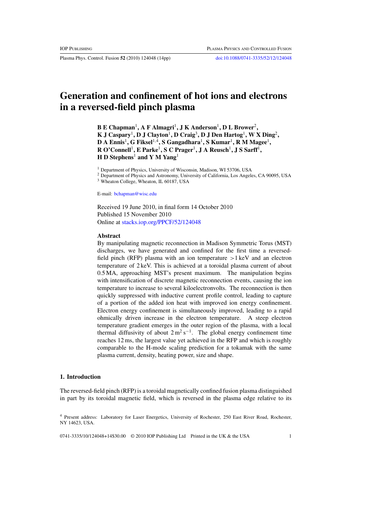Plasma Phys. Control. Fusion **52** (2010) 124048 (14pp) [doi:10.1088/0741-3335/52/12/124048](http://dx.doi.org/10.1088/0741-3335/52/12/124048)

# **Generation and confinement of hot ions and electrons in a reversed-field pinch plasma**

**B E Chapman**1**, A F Almagri**1**, J K Anderson**1**, D L Brower**2**, K J Caspary**1**, D J Clayton**1**, D Craig**3**, D J Den Hartog**1**, W X Ding**2**, D A Ennis**1**, G Fiksel**1*,*4**, S Gangadhara**1**, S Kumar**1**, R M Magee**1**, R O'Connell**1**, E Parke**1**, S C Prager**1**, J A Reusch**1**, J S Sarff**1**, H D Stephens**<sup>1</sup> **and Y M Yang**<sup>1</sup>

<sup>1</sup> Department of Physics, University of Wisconsin, Madison, WI 53706, USA

<sup>2</sup> Department of Physics and Astronomy, University of California, Los Angeles, CA 90095, USA

<sup>3</sup> Wheaton College, Wheaton, IL 60187, USA

E-mail: [bchapman@wisc.edu](mailto: bchapman@wisc.edu)

Received 19 June 2010, in final form 14 October 2010 Published 15 November 2010 Online at [stacks.iop.org/PPCF/52/124048](http://stacks.iop.org/PPCF/52/124048)

#### **Abstract**

By manipulating magnetic reconnection in Madison Symmetric Torus (MST) discharges, we have generated and confined for the first time a reversedfield pinch (RFP) plasma with an ion temperature *>*1 keV and an electron temperature of 2 keV. This is achieved at a toroidal plasma current of about 0.5 MA, approaching MST's present maximum. The manipulation begins with intensification of discrete magnetic reconnection events, causing the ion temperature to increase to several kiloelectronvolts. The reconnection is then quickly suppressed with inductive current profile control, leading to capture of a portion of the added ion heat with improved ion energy confinement. Electron energy confinement is simultaneously improved, leading to a rapid ohmically driven increase in the electron temperature. A steep electron temperature gradient emerges in the outer region of the plasma, with a local thermal diffusivity of about  $2 \text{ m}^2 \text{ s}^{-1}$ . The global energy confinement time reaches 12 ms, the largest value yet achieved in the RFP and which is roughly comparable to the H-mode scaling prediction for a tokamak with the same plasma current, density, heating power, size and shape.

#### **1. Introduction**

The reversed-field pinch (RFP) is a toroidal magnetically confined fusion plasma distinguished in part by its toroidal magnetic field, which is reversed in the plasma edge relative to its

0741-3335/10/124048+14\$30.00 © 2010 IOP Publishing Ltd Printed in the UK & the USA 1

<sup>4</sup> Present address: Laboratory for Laser Energetics, University of Rochester, 250 East River Road, Rochester, NY 14623, USA.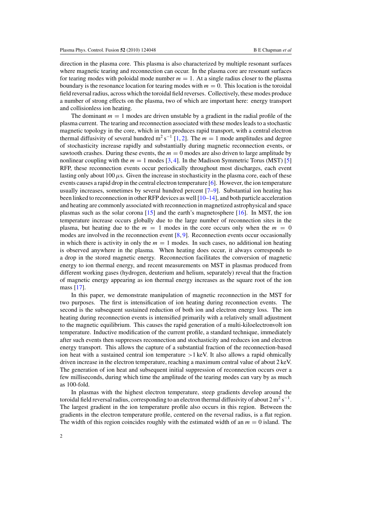direction in the plasma core. This plasma is also characterized by multiple resonant surfaces where magnetic tearing and reconnection can occur. In the plasma core are resonant surfaces for tearing modes with poloidal mode number  $m = 1$ . At a single radius closer to the plasma boundary is the resonance location for tearing modes with  $m = 0$ . This location is the toroidal field reversal radius, across which the toroidal field reverses. Collectively, these modes produce a number of strong effects on the plasma, two of which are important here: energy transport and collisionless ion heating.

The dominant  $m = 1$  modes are driven unstable by a gradient in the radial profile of the plasma current. The tearing and reconnection associated with these modes leads to a stochastic magnetic topology in the core, which in turn produces rapid transport, with a central electron thermal diffusivity of several hundred m<sup>2</sup> s<sup>-1</sup> [\[1,](#page-13-0) [2\]](#page-13-0). The  $m = 1$  mode amplitudes and degree of stochasticity increase rapidly and substantially during magnetic reconnection events, or sawtooth crashes. During these events, the  $m = 0$  modes are also driven to large amplitude by nonlinear coupling with the  $m = 1$  modes [\[3,](#page-13-0) [4\]](#page-13-0). In the Madison Symmetric Torus (MST) [\[5\]](#page-13-0) RFP, these reconnection events occur periodically throughout most discharges, each event lasting only about 100*µ*s. Given the increase in stochasticity in the plasma core, each of these events causes a rapid drop in the central electron temperature  $[6]$ . However, the ion temperature usually increases, sometimes by several hundred percent  $[7-9]$ . Substantial ion heating has been linked to reconnection in other RFP devices as well [\[10–14\]](#page-13-0), and both particle acceleration and heating are commonly associated with reconnection in magnetized astrophysical and space plasmas such as the solar corona [\[15\]](#page-13-0) and the earth's magnetosphere [\[16\]](#page-13-0). In MST, the ion temperature increase occurs globally due to the large number of reconnection sites in the plasma, but heating due to the  $m = 1$  modes in the core occurs only when the  $m = 0$ modes are involved in the reconnection event  $[8, 9]$  $[8, 9]$  $[8, 9]$ . Reconnection events occur occasionally in which there is activity in only the  $m = 1$  modes. In such cases, no additional ion heating is observed anywhere in the plasma. When heating does occur, it always corresponds to a drop in the stored magnetic energy. Reconnection facilitates the conversion of magnetic energy to ion thermal energy, and recent measurements on MST in plasmas produced from different working gases (hydrogen, deuterium and helium, separately) reveal that the fraction of magnetic energy appearing as ion thermal energy increases as the square root of the ion mass [\[17\]](#page-13-0).

In this paper, we demonstrate manipulation of magnetic reconnection in the MST for two purposes. The first is intensification of ion heating during reconnection events. The second is the subsequent sustained reduction of both ion and electron energy loss. The ion heating during reconnection events is intensified primarily with a relatively small adjustment to the magnetic equilibrium. This causes the rapid generation of a multi-kiloelectronvolt ion temperature. Inductive modification of the current profile, a standard technique, immediately after such events then suppresses reconnection and stochasticity and reduces ion and electron energy transport. This allows the capture of a substantial fraction of the reconnection-based ion heat with a sustained central ion temperature *>*1 keV. It also allows a rapid ohmically driven increase in the electron temperature, reaching a maximum central value of about 2 keV. The generation of ion heat and subsequent initial suppression of reconnection occurs over a few milliseconds, during which time the amplitude of the tearing modes can vary by as much as 100-fold.

In plasmas with the highest electron temperature, steep gradients develop around the toroidal field reversal radius, corresponding to an electron thermal diffusivity of about  $2 \text{ m}^2 \text{ s}^{-1}$ . The largest gradient in the ion temperature profile also occurs in this region. Between the gradients in the electron temperature profile, centered on the reversal radius, is a flat region. The width of this region coincides roughly with the estimated width of an  $m = 0$  island. The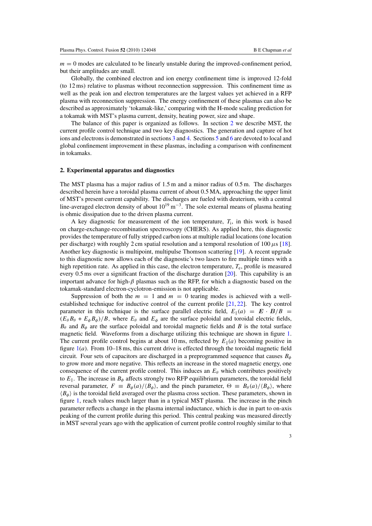$m = 0$  modes are calculated to be linearly unstable during the improved-confinement period, but their amplitudes are small.

Globally, the combined electron and ion energy confinement time is improved 12-fold (to 12 ms) relative to plasmas without reconnection suppression. This confinement time as well as the peak ion and electron temperatures are the largest values yet achieved in a RFP plasma with reconnection suppression. The energy confinement of these plasmas can also be described as approximately 'tokamak-like,' comparing with the H-mode scaling prediction for a tokamak with MST's plasma current, density, heating power, size and shape.

The balance of this paper is organized as follows. In section 2 we describe MST, the current profile control technique and two key diagnostics. The generation and capture of hot ions and electrons is demonstrated in sections [3](#page-4-0) and [4.](#page-7-0) Sections [5](#page-9-0) and [6](#page-10-0) are devoted to local and global confinement improvement in these plasmas, including a comparison with confinement in tokamaks.

#### **2. Experimental apparatus and diagnostics**

The MST plasma has a major radius of 1.5 m and a minor radius of 0.5 m. The discharges described herein have a toroidal plasma current of about 0.5 MA, approaching the upper limit of MST's present current capability. The discharges are fueled with deuterium, with a central line-averaged electron density of about  $10^{19}$  m<sup>-3</sup>. The sole external means of plasma heating is ohmic dissipation due to the driven plasma current.

A key diagnostic for measurement of the ion temperature, *T*i, in this work is based on charge-exchange-recombination spectroscopy (CHERS). As applied here, this diagnostic provides the temperature of fully stripped carbon ions at multiple radial locations (one location per discharge) with roughly 2 cm spatial resolution and a temporal resolution of 100*µ*s [\[18\]](#page-13-0). Another key diagnostic is multipoint, multipulse Thomson scattering [\[19\]](#page-13-0). A recent upgrade to this diagnostic now allows each of the diagnostic's two lasers to fire multiple times with a high repetition rate. As applied in this case, the electron temperature,  $T_e$ , profile is measured every 0.5 ms over a significant fraction of the discharge duration [\[20\]](#page-13-0). This capability is an important advance for high-*β* plasmas such as the RFP, for which a diagnostic based on the tokamak-standard electron-cyclotron-emission is not applicable.

Suppression of both the  $m = 1$  and  $m = 0$  tearing modes is achieved with a wellestablished technique for inductive control of the current profile [\[21,](#page-13-0) [22\]](#page-13-0). The key control parameter in this technique is the surface parallel electric field,  $E_{\parallel}(a) = E \cdot B/B$  $(E_{\theta} B_{\theta} + E_{\phi} B_{\phi})/B$ , where  $E_{\theta}$  and  $E_{\phi}$  are the surface poloidal and toroidal electric fields,  $B_\theta$  and  $B_\phi$  are the surface poloidal and toroidal magnetic fields and *B* is the total surface magnetic field. Waveforms from a discharge utilizing this technique are shown in figure [1.](#page-4-0) The current profile control begins at about 10 ms, reflected by  $E_{\parallel}(a)$  becoming positive in figure  $1(a)$  $1(a)$ . From  $10-18$  ms, this current drive is effected through the toroidal magnetic field circuit. Four sets of capacitors are discharged in a preprogrammed sequence that causes  $B_{\phi}$ to grow more and more negative. This reflects an increase in the stored magnetic energy, one consequence of the current profile control. This induces an  $E_\theta$  which contributes positively to  $E_{\parallel}$ . The increase in  $B_{\phi}$  affects strongly two RFP equilibrium parameters, the toroidal field reversal parameter,  $F = B_{\phi}(a)/\langle B_{\phi} \rangle$ , and the pinch parameter,  $\Theta = B_{\theta}(a)/\langle B_{\phi} \rangle$ , where  $\langle B_{\phi} \rangle$  is the toroidal field averaged over the plasma cross section. These parameters, shown in figure [1,](#page-4-0) reach values much larger than in a typical MST plasma. The increase in the pinch parameter reflects a change in the plasma internal inductance, which is due in part to on-axis peaking of the current profile during this period. This central peaking was measured directly in MST several years ago with the application of current profile control roughly similar to that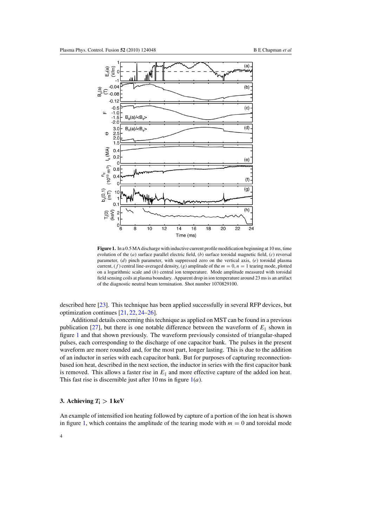<span id="page-4-0"></span>

**Figure 1.** In a 0.5 MA discharge with inductive current profile modification beginning at 10 ms, time evolution of the (*a*) surface parallel electric field, (*b*) surface toroidal magnetic field, (*c*) reversal parameter, (*d*) pinch parameter, with suppressed zero on the vertical axis, (*e*) toroidal plasma current,  $(f)$  central line-averaged density,  $(g)$  amplitude of the  $m = 0$ ,  $n = 1$  tearing mode, plotted on a logarithmic scale and (*h*) central ion temperature. Mode amplitude measured with toroidal field sensing coils at plasma boundary. Apparent drop in ion temperature around 23 ms is an artifact of the diagnostic neutral beam termination. Shot number 1070829100.

described here [\[23\]](#page-13-0). This technique has been applied successfully in several RFP devices, but optimization continues [\[21,](#page-13-0) [22,](#page-13-0) [24–](#page-13-0)[26\]](#page-14-0).

Additional details concerning this technique as applied on MST can be found in a previous publication [\[27\]](#page-14-0), but there is one notable difference between the waveform of  $E_{\parallel}$  shown in figure 1 and that shown previously. The waveform previously consisted of triangular-shaped pulses, each corresponding to the discharge of one capacitor bank. The pulses in the present waveform are more rounded and, for the most part, longer lasting. This is due to the addition of an inductor in series with each capacitor bank. But for purposes of capturing reconnectionbased ion heat, described in the next section, the inductor in series with the first capacitor bank is removed. This allows a faster rise in  $E_{\parallel}$  and more effective capture of the added ion heat. This fast rise is discernible just after 10 ms in figure 1(*a*).

## **3.** Achieving  $T_i > 1 \text{ keV}$

An example of intensified ion heating followed by capture of a portion of the ion heat is shown in figure 1, which contains the amplitude of the tearing mode with  $m = 0$  and toroidal mode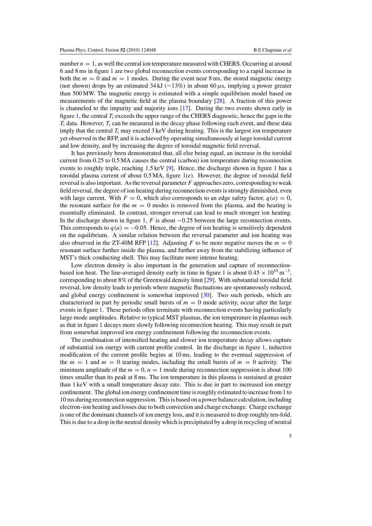number  $n = 1$ , as well the central ion temperature measured with CHERS. Occurring at around 6 and 8 ms in figure [1](#page-4-0) are two global reconnection events corresponding to a rapid increase in both the  $m = 0$  and  $m = 1$  modes. During the event near 8 ms, the stored magnetic energy (not shown) drops by an estimated 34 kJ (∼13%*)* in about 60*µ*s, implying a power greater than 500 MW. The magnetic energy is estimated with a simple equilibrium model based on measurements of the magnetic field at the plasma boundary [\[28\]](#page-14-0). A fraction of this power is channeled to the impurity and majority ions [\[17\]](#page-13-0). During the two events shown early in figure [1,](#page-4-0) the central *T*<sup>i</sup> exceeds the upper range of the CHERS diagnostic, hence the gaps in the *T*<sup>i</sup> data. However, *T*<sup>i</sup> can be measured in the decay phase following each event, and these data imply that the central  $T_i$  may exceed 3 keV during heating. This is the largest ion temperature yet observed in the RFP, and it is achieved by operating simultaneously at large toroidal current and low density, and by increasing the degree of toroidal magnetic field reversal.

It has previously been demonstrated that, all else being equal, an increase in the toroidal current from 0.25 to 0.5 MA causes the central (carbon) ion temperature during reconnection events to roughly triple, reaching 1.5 keV [\[9\]](#page-13-0). Hence, the discharge shown in figure [1](#page-4-0) has a toroidal plasma current of about  $0.5 \text{ MA}$ , figure  $1(e)$  $1(e)$ . However, the degree of toroidal field reversal is also important. As the reversal parameter *F* approaches zero, corresponding to weak field reversal, the degree of ion heating during reconnection events is strongly diminished, even with large current. With  $F = 0$ , which also corresponds to an edge safety factor,  $q(a) = 0$ , the resonant surface for the  $m = 0$  modes is removed from the plasma, and the heating is essentially eliminated. In contrast, stronger reversal can lead to much stronger ion heating. In the discharge shown in figure [1,](#page-4-0) *F* is about −0.25 between the large reconnection events. This corresponds to  $q(a) = -0.05$ . Hence, the degree of ion heating is sensitively dependent on the equilibrium. A similar relation between the reversal parameter and ion heating was also observed in the ZT-40M RFP [\[12\]](#page-13-0). Adjusting  $F$  to be more negative moves the  $m = 0$ resonant surface further inside the plasma, and further away from the stabilizing influence of MST's thick conducting shell. This may facilitate more intense heating.

Low electron density is also important in the generation and capture of reconnection-based ion heat. The line-averaged density early in time in figure [1](#page-4-0) is about  $0.45 \times 10^{19}$  m<sup>-3</sup>, corresponding to about 8% of the Greenwald density limit [\[29\]](#page-14-0). With substantial toroidal field reversal, low density leads to periods where magnetic fluctuations are spontaneously reduced, and global energy confinement is somewhat improved [\[30\]](#page-14-0). Two such periods, which are characterized in part by periodic small bursts of  $m = 0$  mode activity, occur after the large events in figure [1.](#page-4-0) These periods often terminate with reconnection events having particularly large mode amplitudes. Relative to typical MST plasmas, the ion temperature in plasmas such as that in figure [1](#page-4-0) decays more slowly following reconnection heating. This may result in part from somewhat improved ion energy confinement following the reconnection events.

The combination of intensified heating and slower ion temperature decay allows capture of substantial ion energy with current profile control. In the discharge in figure [1,](#page-4-0) inductive modification of the current profile begins at 10 ms, leading to the eventual suppression of the  $m = 1$  and  $m = 0$  tearing modes, including the small bursts of  $m = 0$  activity. The minimum amplitude of the  $m = 0$ ,  $n = 1$  mode during reconnection suppression is about 100 times smaller than its peak at 8 ms. The ion temperature in this plasma is sustained at greater than 1 keV with a small temperature decay rate. This is due in part to increased ion energy confinement. The global ion energy confinement time is roughly estimated to increase from 1 to 10 ms during reconnection suppression. This is based on a power balance calculation, including electron–ion heating and losses due to both convection and charge exchange. Charge exchange is one of the dominant channels of ion energy loss, and it is measured to drop roughly ten-fold. This is due to a drop in the neutral density which is precipitated by a drop in recycling of neutral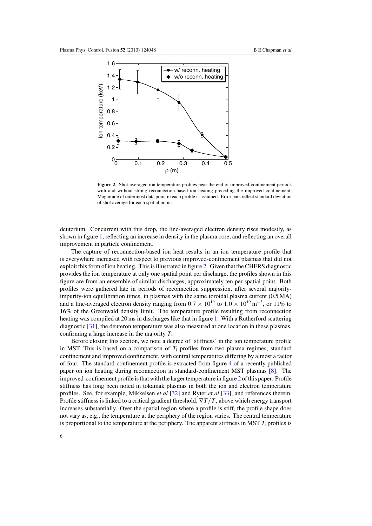<span id="page-6-0"></span>

**Figure 2.** Shot-averaged ion temperature profiles near the end of improved-confinement periods with and without strong reconnection-based ion heating preceding the improved confinement. Magnitude of outermost data point in each profile is assumed. Error bars reflect standard deviation of shot average for each spatial point.

deuterium. Concurrent with this drop, the line-averaged electron density rises modestly, as shown in figure [1,](#page-4-0) reflecting an increase in density in the plasma core, and reflecting an overall improvement in particle confinement.

The capture of reconnection-based ion heat results in an ion temperature profile that is everywhere increased with respect to previous improved-confinement plasmas that did not exploit this form of ion heating. This is illustrated in figure 2. Given that the CHERS diagnostic provides the ion temperature at only one spatial point per discharge, the profiles shown in this figure are from an ensemble of similar discharges, approximately ten per spatial point. Both profiles were gathered late in periods of reconnection suppression, after several majorityimpurity-ion equilibration times, in plasmas with the same toroidal plasma current (0.5 MA) and a line-averaged electron density ranging from  $0.7 \times 10^{19}$  to  $1.0 \times 10^{19}$  m<sup>-3</sup>, or 11% to 16% of the Greenwald density limit. The temperature profile resulting from reconnection heating was compiled at 20 ms in discharges like that in figure [1.](#page-4-0) With a Rutherford scattering diagnostic [\[31\]](#page-14-0), the deuteron temperature was also measured at one location in these plasmas, confirming a large increase in the majority *T*i.

Before closing this section, we note a degree of 'stiffness' in the ion temperature profile in MST. This is based on a comparison of *T*<sup>i</sup> profiles from two plasma regimes, standard confinement and improved confinement, with central temperatures differing by almost a factor of four. The standard-confinement profile is extracted from figure [4](#page-8-0) of a recently published paper on ion heating during reconnection in standard-confinement MST plasmas [\[8\]](#page-13-0). The improved-confinement profile is that with the larger temperature in figure 2 of this paper. Profile stiffness has long been noted in tokamak plasmas in both the ion and electron temperature profiles. See, for example, Mikkelsen *et al* [\[32\]](#page-14-0) and Ryter *et al* [\[33\]](#page-14-0), and references therein. Profile stiffness is linked to a critical gradient threshold, ∇*T/T* , above which energy transport increases substantially. Over the spatial region where a profile is stiff, the profile shape does not vary as, e.g., the temperature at the periphery of the region varies. The central temperature is proportional to the temperature at the periphery. The apparent stiffness in MST *T*<sup>i</sup> profiles is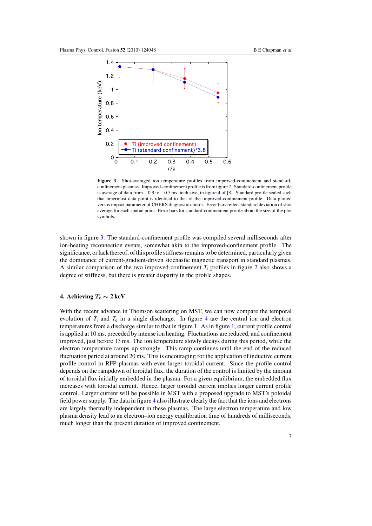<span id="page-7-0"></span>

**Figure 3.** Shot-averaged ion temperature profiles from improved-confinement and standardconfinement plasmas. Improved-confinement profile is from figure [2.](#page-6-0) Standard-confinement profile is average of data from −0.9 to −0.5 ms, inclusive, in figure [4](#page-8-0) of [\[8\]](#page-13-0). Standard profile scaled such that innermost data point is identical to that of the improved-confinement profile. Data plotted versus impact parameter of CHERS diagnostic chords. Error bars reflect standard deviation of shot average for each spatial point. Error bars for standard-confinement profile about the size of the plot symbols.

shown in figure 3. The standard-confinement profile was compiled several milliseconds after ion-heating reconnection events, somewhat akin to the improved-confinement profile. The significance, or lack thereof, of this profile stiffness remains to be determined, particularly given the dominance of current-gradient-driven stochastic magnetic transport in standard plasmas. A similar comparison of the two improved-confinement  $T_i$  profiles in figure [2](#page-6-0) also shows a degree of stiffness, but there is greater disparity in the profile shapes.

## **4.** Achieving  $T_e \sim 2 \text{ keV}$

With the recent advance in Thomson scattering on MST, we can now compare the temporal evolution of  $T_i$  and  $T_e$  in a single discharge. In figure [4](#page-8-0) are the central ion and electron temperatures from a discharge similar to that in figure [1.](#page-4-0) As in figure [1,](#page-4-0) current profile control is applied at 10 ms, preceded by intense ion heating. Fluctuations are reduced, and confinement improved, just before 13 ms. The ion temperature slowly decays during this period, while the electron temperature ramps up strongly. This ramp continues until the end of the reduced fluctuation period at around 20 ms. This is encouraging for the application of inductive current profile control in RFP plasmas with even larger toroidal current. Since the profile control depends on the rampdown of toroidal flux, the duration of the control is limited by the amount of toroidal flux initially embedded in the plasma. For a given equilibrium, the embedded flux increases with toroidal current. Hence, larger toroidal current implies longer current profile control. Larger current will be possible in MST with a proposed upgrade to MST's poloidal field power supply. The data in figure [4](#page-8-0) also illustrate clearly the fact that the ions and electrons are largely thermally independent in these plasmas. The large electron temperature and low plasma density lead to an electron–ion energy equilibration time of hundreds of milliseconds, much longer than the present duration of improved confinement.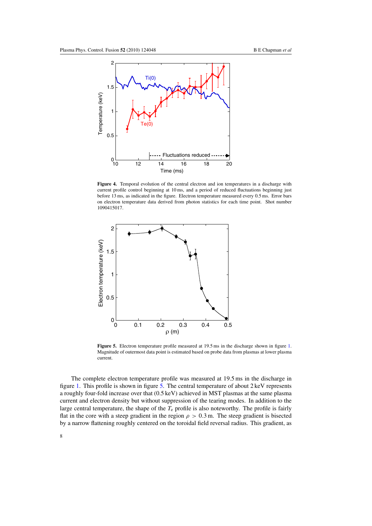<span id="page-8-0"></span>

**Figure 4.** Temporal evolution of the central electron and ion temperatures in a discharge with current profile control beginning at 10 ms, and a period of reduced fluctuations beginning just before 13 ms, as indicated in the figure. Electron temperature measured every 0.5 ms. Error bars on electron temperature data derived from photon statistics for each time point. Shot number 1090415017.



Figure 5. Electron temperature profile measured at 19.5 ms in the discharge shown in figure [1.](#page-4-0) Magnitude of outermost data point is estimated based on probe data from plasmas at lower plasma current.

The complete electron temperature profile was measured at 19.5 ms in the discharge in figure [1.](#page-4-0) This profile is shown in figure 5. The central temperature of about 2 keV represents a roughly four-fold increase over that (0.5 keV) achieved in MST plasmas at the same plasma current and electron density but without suppression of the tearing modes. In addition to the large central temperature, the shape of the *T*<sup>e</sup> profile is also noteworthy. The profile is fairly flat in the core with a steep gradient in the region  $\rho > 0.3$  m. The steep gradient is bisected by a narrow flattening roughly centered on the toroidal field reversal radius. This gradient, as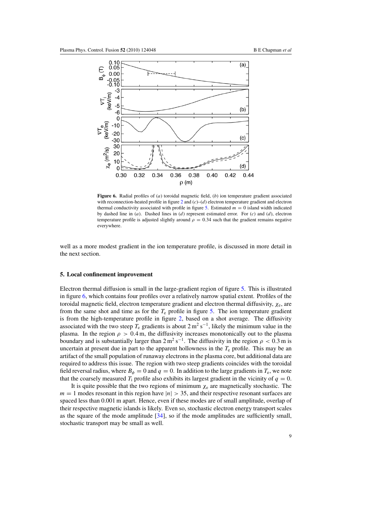<span id="page-9-0"></span>

**Figure 6.** Radial profiles of (*a*) toroidal magnetic field, (*b*) ion temperature gradient associated with reconnection-heated profile in figure [2](#page-6-0) and  $(c)$ – $(d)$  electron temperature gradient and electron thermal conductivity associated with profile in figure [5.](#page-8-0) Estimated  $m = 0$  island width indicated by dashed line in (*a*). Dashed lines in (*d*) represent estimated error. For (*c*) and (*d*), electron temperature profile is adjusted slightly around  $\rho = 0.34$  such that the gradient remains negative everywhere.

well as a more modest gradient in the ion temperature profile, is discussed in more detail in the next section.

#### **5. Local confinement improvement**

Electron thermal diffusion is small in the large-gradient region of figure [5.](#page-8-0) This is illustrated in figure 6, which contains four profiles over a relatively narrow spatial extent. Profiles of the toroidal magnetic field, electron temperature gradient and electron thermal diffusivity, *χ*e, are from the same shot and time as for the  $T<sub>e</sub>$  profile in figure [5.](#page-8-0) The ion temperature gradient is from the high-temperature profile in figure [2,](#page-6-0) based on a shot average. The diffusivity associated with the two steep  $T_e$  gradients is about  $2 \text{ m}^2 \text{ s}^{-1}$ , likely the minimum value in the plasma. In the region  $\rho > 0.4$  m, the diffusivity increases monotonically out to the plasma boundary and is substantially larger than  $2 \text{ m}^2 \text{ s}^{-1}$ . The diffusivity in the region  $\rho < 0.3$  m is uncertain at present due in part to the apparent hollowness in the  $T_e$  profile. This may be an artifact of the small population of runaway electrons in the plasma core, but additional data are required to address this issue. The region with two steep gradients coincides with the toroidal field reversal radius, where  $B_{\phi} = 0$  and  $q = 0$ . In addition to the large gradients in  $T_e$ , we note that the coarsely measured  $T_i$  profile also exhibits its largest gradient in the vicinity of  $q = 0$ .

It is quite possible that the two regions of minimum  $\chi_e$  are magnetically stochastic. The  $m = 1$  modes resonant in this region have  $|n| > 35$ , and their respective resonant surfaces are spaced less than 0.001 m apart. Hence, even if these modes are of small amplitude, overlap of their respective magnetic islands is likely. Even so, stochastic electron energy transport scales as the square of the mode amplitude [\[34\]](#page-14-0), so if the mode amplitudes are sufficiently small, stochastic transport may be small as well.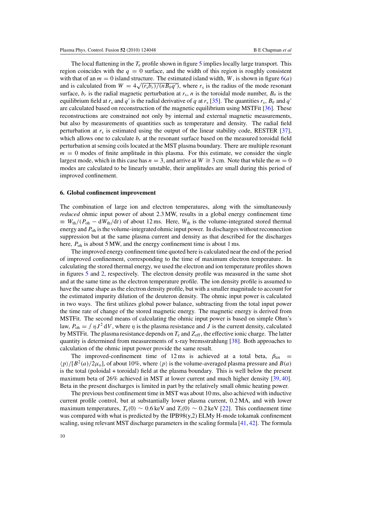<span id="page-10-0"></span>The local flattening in the  $T_e$  profile shown in figure [5](#page-8-0) implies locally large transport. This region coincides with the  $q = 0$  surface, and the width of this region is roughly consistent with that of an  $m = 0$  island structure. The estimated island width, *W*, is shown in figure  $6(a)$  $6(a)$ and is calculated from  $W = 4\sqrt{(r_s b_r)/(n B_\theta q')}$ , where  $r_s$  is the radius of the mode resonant surface,  $b_r$  is the radial magnetic perturbation at  $r_s$ , *n* is the toroidal mode number,  $B_\theta$  is the equilibrium field at  $r_s$  and  $q'$  is the radial derivative of  $q$  at  $r_s$  [\[35\]](#page-14-0). The quantities  $r_s$ ,  $B_\theta$  and  $q'$ are calculated based on reconstruction of the magnetic equilibrium using MSTFit [\[36\]](#page-14-0). These reconstructions are constrained not only by internal and external magnetic measurements, but also by measurements of quantities such as temperature and density. The radial field perturbation at *r*<sup>s</sup> is estimated using the output of the linear stability code, RESTER [\[37\]](#page-14-0), which allows one to calculate  $b_r$  at the resonant surface based on the measured toroidal field perturbation at sensing coils located at the MST plasma boundary. There are multiple resonant  $m = 0$  modes of finite amplitude in this plasma. For this estimate, we consider the single largest mode, which in this case has  $n = 3$ , and arrive at  $W \cong 3$  cm. Note that while the  $m = 0$ modes are calculated to be linearly unstable, their amplitudes are small during this period of improved confinement.

#### **6. Global confinement improvement**

The combination of large ion and electron temperatures, along with the simultaneously *reduced* ohmic input power of about 2.3 MW, results in a global energy confinement time  $\equiv W_{\text{th}}/(P_{\text{oh}} - dW_{\text{th}}/dt)$  of about 12 ms. Here,  $W_{\text{th}}$  is the volume-integrated stored thermal energy and*P*oh is the volume-integrated ohmic input power. In discharges without reconnection suppression but at the same plasma current and density as that described for the discharges here,  $P_{\text{oh}}$  is about 5 MW, and the energy confinement time is about 1 ms.

The improved energy confinement time quoted here is calculated near the end of the period of improved confinement, corresponding to the time of maximum electron temperature. In calculating the stored thermal energy, we used the electron and ion temperature profiles shown in figures [5](#page-8-0) and [2,](#page-6-0) respectively. The electron density profile was measured in the same shot and at the same time as the electron temperature profile. The ion density profile is assumed to have the same shape as the electron density profile, but with a smaller magnitude to account for the estimated impurity dilution of the deuteron density. The ohmic input power is calculated in two ways. The first utilizes global power balance, subtracting from the total input power the time rate of change of the stored magnetic energy. The magnetic energy is derived from MSTFit. The second means of calculating the ohmic input power is based on simple Ohm's law,  $P_{\text{oh}} = \int \eta J^2 dV$ , where  $\eta$  is the plasma resistance and *J* is the current density, calculated by MSTFit. The plasma resistance depends on *T*<sup>e</sup> and*Z*eff, the effective ionic charge. The latter quantity is determined from measurements of x-ray bremsstrahlung [\[38\]](#page-14-0). Both approaches to calculation of the ohmic input power provide the same result.

The improved-confinement time of 12 ms is achieved at a total beta,  $\beta_{\text{tot}}$  =  $\langle p \rangle / [B^2(a)/2\mu_o]$ , of about 10%, where  $\langle p \rangle$  is the volume-averaged plasma pressure and *B(a)* is the total (poloidal + toroidal) field at the plasma boundary. This is well below the present maximum beta of 26% achieved in MST at lower current and much higher density [\[39,](#page-14-0) [40\]](#page-14-0). Beta in the present discharges is limited in part by the relatively small ohmic heating power.

The previous best confinement time in MST was about 10 ms, also achieved with inductive current profile control, but at substantially lower plasma current, 0.2 MA, and with lower maximum temperatures,  $T_e(0) \sim 0.6 \,\text{keV}$  and  $T_i(0) \sim 0.2 \,\text{keV}$  [\[22\]](#page-13-0). This confinement time was compared with what is predicted by the IPB98(y,2) ELMy H-mode tokamak confinement scaling, using relevant MST discharge parameters in the scaling formula [\[41,](#page-14-0) [42\]](#page-14-0). The formula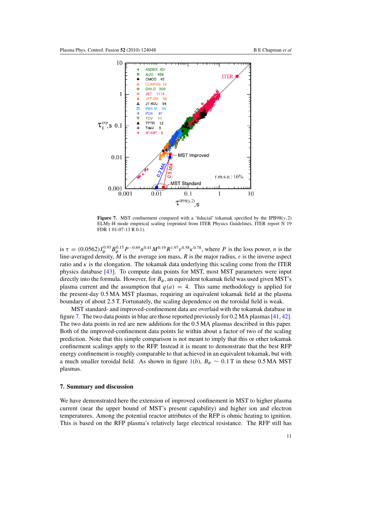<span id="page-11-0"></span>

**Figure 7.** MST confinement compared with a 'fiducial' tokamak specified by the IPB98( $y$ ,2) ELMy-H mode empirical scaling (reprinted from ITER Physics Guidelines, ITER report N 19 FDR 1 01-07-13 R 0.1).

is  $\tau = (0.0562)I_{\phi}^{0.93}B_{\phi}^{0.15}P^{-0.69}n^{0.41}M^{0.19}R^{1.97}\varepsilon^{0.58}\kappa^{0.78}$ , where *P* is the loss power, *n* is the line-averaged density,  $\dot{M}$  is the average ion mass,  $R$  is the major radius,  $\varepsilon$  is the inverse aspect ratio and  $\kappa$  is the elongation. The tokamak data underlying this scaling come from the ITER physics database [\[43\]](#page-14-0). To compute data points for MST, most MST parameters were input directly into the formula. However, for  $B_{\phi}$ , an equivalent tokamak field was used given MST's plasma current and the assumption that  $q(a) = 4$ . This same methodology is applied for the present-day 0.5 MA MST plasmas, requiring an equivalent tokamak field at the plasma boundary of about 2.5 T. Fortunately, the scaling dependence on the toroidal field is weak.

MST standard- and improved-confinement data are overlaid with the tokamak database in figure 7. The two data points in blue are those reported previously for 0.2 MA plasmas [\[41,](#page-14-0) [42\]](#page-14-0). The two data points in red are new additions for the 0.5 MA plasmas described in this paper. Both of the improved-confinement data points lie within about a factor of two of the scaling prediction. Note that this simple comparison is not meant to imply that this or other tokamak confinement scalings apply to the RFP. Instead it is meant to demonstrate that the best RFP energy confinement is roughly comparable to that achieved in an equivalent tokamak, but with a much smaller toroidal field. As shown in figure [1\(](#page-4-0)*b*),  $B_{\phi} \sim 0.1$  T in these 0.5 MA MST plasmas.

### **7. Summary and discussion**

We have demonstrated here the extension of improved confinement in MST to higher plasma current (near the upper bound of MST's present capability) and higher ion and electron temperatures. Among the potential reactor attributes of the RFP is ohmic heating to ignition. This is based on the RFP plasma's relatively large electrical resistance. The RFP still has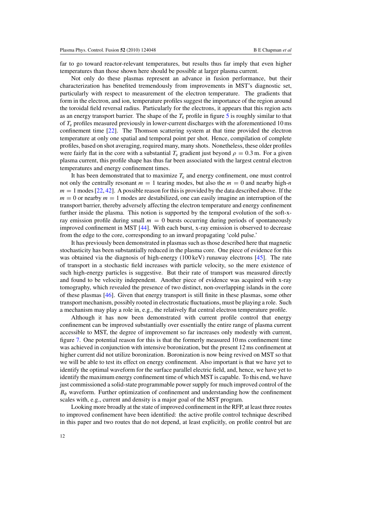far to go toward reactor-relevant temperatures, but results thus far imply that even higher temperatures than those shown here should be possible at larger plasma current.

Not only do these plasmas represent an advance in fusion performance, but their characterization has benefited tremendously from improvements in MST's diagnostic set, particularly with respect to measurement of the electron temperature. The gradients that form in the electron, and ion, temperature profiles suggest the importance of the region around the toroidal field reversal radius. Particularly for the electrons, it appears that this region acts as an energy transport barrier. The shape of the *T*<sup>e</sup> profile in figure [5](#page-8-0) is roughly similar to that of *T*<sup>e</sup> profiles measured previously in lower-current discharges with the aforementioned 10 ms confinement time [\[22\]](#page-13-0). The Thomson scattering system at that time provided the electron temperature at only one spatial and temporal point per shot. Hence, compilation of complete profiles, based on shot averaging, required many, many shots. Nonetheless, these older profiles were fairly flat in the core with a substantial  $T_e$  gradient just beyond  $\rho = 0.3$  m. For a given plasma current, this profile shape has thus far been associated with the largest central electron temperatures and energy confinement times.

It has been demonstrated that to maximize  $T_e$  and energy confinement, one must control not only the centrally resonant  $m = 1$  tearing modes, but also the  $m = 0$  and nearby high-*n*  $m = 1$  modes [\[22,](#page-13-0) [42\]](#page-14-0). A possible reason for this is provided by the data described above. If the  $m = 0$  or nearby  $m = 1$  modes are destabilized, one can easily imagine an interruption of the transport barrier, thereby adversely affecting the electron temperature and energy confinement further inside the plasma. This notion is supported by the temporal evolution of the soft-xray emission profile during small  $m = 0$  bursts occurring during periods of spontaneously improved confinement in MST [\[44\]](#page-14-0). With each burst, x-ray emission is observed to decrease from the edge to the core, corresponding to an inward propagating 'cold pulse.'

It has previously been demonstrated in plasmas such as those described here that magnetic stochasticity has been substantially reduced in the plasma core. One piece of evidence for this was obtained via the diagnosis of high-energy (100 keV) runaway electrons [\[45\]](#page-14-0). The rate of transport in a stochastic field increases with particle velocity, so the mere existence of such high-energy particles is suggestive. But their rate of transport was measured directly and found to be velocity independent. Another piece of evidence was acquired with x-ray tomography, which revealed the presence of two distinct, non-overlapping islands in the core of these plasmas [\[46\]](#page-14-0). Given that energy transport is still finite in these plasmas, some other transport mechanism, possibly rooted in electrostatic fluctuations, must be playing a role. Such a mechanism may play a role in, e.g., the relatively flat central electron temperature profile.

Although it has now been demonstrated with current profile control that energy confinement can be improved substantially over essentially the entire range of plasma current accessible to MST, the degree of improvement so far increases only modestly with current, figure [7.](#page-11-0) One potential reason for this is that the formerly measured 10 ms confinement time was achieved in conjunction with intensive boronization, but the present 12 ms confinement at higher current did not utilize boronization. Boronization is now being revived on MST so that we will be able to test its effect on energy confinement. Also important is that we have yet to identify the optimal waveform for the surface parallel electric field, and, hence, we have yet to identify the maximum energy confinement time of which MST is capable. To this end, we have just commissioned a solid-state programmable power supply for much improved control of the *Bφ* waveform. Further optimization of confinement and understanding how the confinement scales with, e.g., current and density is a major goal of the MST program.

Looking more broadly at the state of improved confinement in the RFP, at least three routes to improved confinement have been identified: the active profile control technique described in this paper and two routes that do not depend, at least explicitly, on profile control but are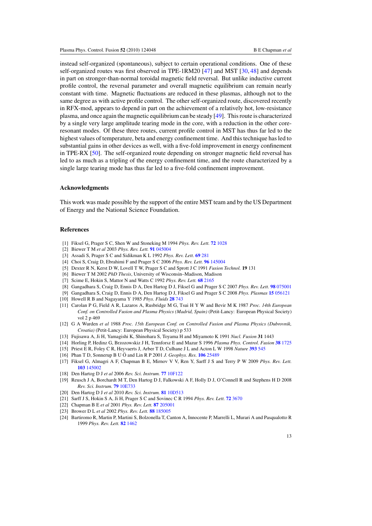<span id="page-13-0"></span>instead self-organized (spontaneous), subject to certain operational conditions. One of these self-organized routes was first observed in TPE-1RM20 [\[47\]](#page-14-0) and MST [\[30,](#page-14-0) [48\]](#page-14-0) and depends in part on stronger-than-normal toroidal magnetic field reversal. But unlike inductive current profile control, the reversal parameter and overall magnetic equilibrium can remain nearly constant with time. Magnetic fluctuations are reduced in these plasmas, although not to the same degree as with active profile control. The other self-organized route, discovered recently in RFX-mod, appears to depend in part on the achievement of a relatively hot, low-resistance plasma, and once again the magnetic equilibrium can be steady [\[49\]](#page-14-0). This route is characterized by a single very large amplitude tearing mode in the core, with a reduction in the other coreresonant modes. Of these three routes, current profile control in MST has thus far led to the highest values of temperature, beta and energy confinement time. And this technique has led to substantial gains in other devices as well, with a five-fold improvement in energy confinement in TPE-RX [\[50\]](#page-14-0). The self-organized route depending on stronger magnetic field reversal has led to as much as a tripling of the energy confinement time, and the route characterized by a single large tearing mode has thus far led to a five-fold confinement improvement.

### **Acknowledgments**

This work was made possible by the support of the entire MST team and by the US Department of Energy and the National Science Foundation.

#### **References**

- [1] Fiksel G, Prager S C, Shen W and Stoneking M 1994 *Phys. Rev. Lett.* **72** [1028](http://dx.doi.org/10.1103/PhysRevLett.72.1028)
- [2] Biewer T M *et al* 2003 *Phys. Rev. Lett.* **91** [045004](http://dx.doi.org/10.1103/PhysRevLett.91.045004)
- [3] Assadi S, Prager S C and Sidikman K L 1992 *Phys. Rev. Lett.* **69** [281](http://dx.doi.org/10.1103/PhysRevLett.69.281)
- [4] Choi S, Craig D, Ebrahimi F and Prager S C 2006 *Phys. Rev. Lett.* **96** [145004](http://dx.doi.org/10.1103/PhysRevLett.96.145004)
- [5] Dexter R N, Kerst D W, Lovell T W, Prager S C and Sprott J C 1991 *Fusion Technol.* **19** 131
- [6] Biewer T M 2002 *PhD Thesis*, University of Wisconsin–Madison, Madison
- [7] Scime E, Hokin S, Mattor N and Watts C 1992 *Phys. Rev. Lett.* **68** [2165](http://dx.doi.org/10.1103/PhysRevLett.68.2165)
- [8] Gangadhara S, Craig D, Ennis D A, Den Hartog D J, Fiksel G and Prager S C 2007 *Phys. Rev. Lett.* **98** [075001](http://dx.doi.org/10.1103/PhysRevLett.98.075001)
- [9] Gangadhara S, Craig D, Ennis D A, Den Hartog D J, Fiksel G and Prager S C 2008 *Phys. Plasmas* **15** [056121](http://dx.doi.org/10.1063/1.2884038)
- [10] Howell R B and Nagayama Y 1985 *Phys. Fluids* **28** [743](http://dx.doi.org/10.1063/1.865086)
- [11] Carolan P G, Field A R, Lazaros A, Rusbridge M G, Tsui H Y W and Bevir M K 1987 *Proc. 14th European Conf. on Controlled Fusion and Plasma Physics (Madrid, Spain)* (Petit-Lancy: European Physical Society) vol 2 p 469
- [12] G A Wurden *et al* 1988 *Proc. 15th European Conf. on Controlled Fusion and Plasma Physics (Dubrovnik, Croatia)* (Petit-Lancy: European Physical Society) p 533
- [13] Fujisawa A, Ji H, Yamagishi K, Shinohara S, Toyama H and Miyamoto K 1991 *Nucl. Fusion* **31** 1443
- [14] Horling P, Hedinz G, Brzozowskiz J H, Tennforsz E and Mazur S 1996 *Plasma Phys. Control. Fusion* **38** [1725](http://dx.doi.org/10.1088/0741-3335/38/10/003)
- [15] Priest E R, Foley C R, Heyvaerts J, Arber T D, Culhane J L and Acton L W 1998 *Nature* **[393](http://dx.doi.org/10.1038/31166)** 545
- [16] Phan T D, Sonnerup B U O and Lin R P 2001 J. Geophys. Res. **106** [25489](http://dx.doi.org/10.1029/2001JA900054)
- [17] Fiksel G, Almagri A F, Chapman B E, Mirnov V V, Ren Y, Sarff J S and Terry P W 2009 *Phys. Rev. Lett.* **103** [145002](http://dx.doi.org/10.1103/PhysRevLett.103.145002)
- [18] Den Hartog D J *et al* 2006 *Rev. Sci. Instrum.* **77** [10F122](http://dx.doi.org/10.1063/1.2217920)
- [19] Reusch J A, Borchardt M T, Den Hartog D J, Falkowski A F, Holly D J, O'Connell R and Stephens H D 2008 *Rev. Sci. Instrum.* **79** [10E733](http://dx.doi.org/10.1063/1.2956742)
- [20] Den Hartog D J *et al* 2010 *Rev. Sci. Instrum.* **81** [10D513](http://dx.doi.org/10.1063/1.3475723)
- 
- [21] Sarff J S, Hokin S A, Ji H, Prager S C and Sovinec C R 1994 *Phys. Rev. Lett.* **72** [3670](http://dx.doi.org/10.1103/PhysRevLett.72.3670)
- [22] Chapman B E *et al* 2001 *Phys. Rev. Lett.* **87** [205001](http://dx.doi.org/10.1103/PhysRevLett.87.205001)
- [23] Brower D L *et al* 2002 *Phys. Rev. Lett.* **88** [185005](http://dx.doi.org/10.1103/PhysRevLett.88.185005)
- [24] Bartiromo R, Martin P, Martini S, Bolzonella T, Canton A, Innocente P, Marrelli L, Murari A and Pasqualotto R 1999 *Phys. Rev. Lett.* **82** [1462](http://dx.doi.org/10.1103/PhysRevLett.82.1462)